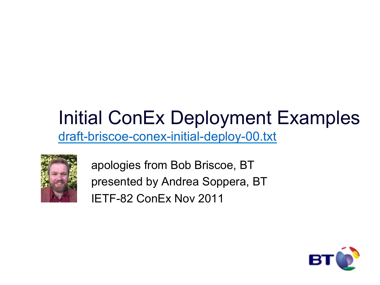### Initial ConEx Deployment Examples draft-briscoe-conex-initial-deploy-00.txt



apologies from Bob Briscoe, BT presented by Andrea Soppera, BT IETF-82 ConEx Nov 2011

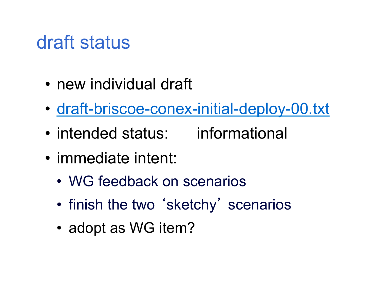# draft status

- new individual draft
- draft-briscoe-conex-initial-deploy-00.txt
- intended status: informational
- immediate intent:
	- WG feedback on scenarios
	- finish the two 'sketchy' scenarios
	- adopt as WG item?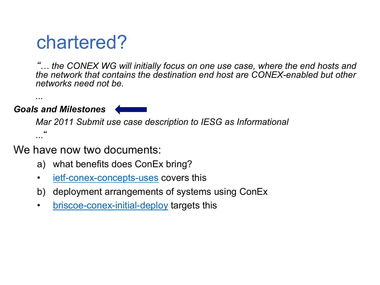# chartered?

"*… the CONEX WG will initially focus on one use case, where the end hosts and the network that contains the destination end host are CONEX-enabled but other networks need not be.* 

*Goals and Milestones* 

*...* 

*Mar 2011 Submit use case description to IESG as Informational* ..."

We have now two documents:

- a) what benefits does ConEx bring?
- ietf-conex-concepts-uses covers this
- b) deployment arrangements of systems using ConEx
- briscoe-conex-initial-deploy targets this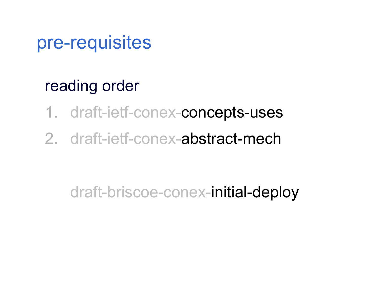## pre-requisites

### reading order

- 1. draft-ietf-conex-concepts-uses
- 2. draft-ietf-conex-abstract-mech

### draft-briscoe-conex-initial-deploy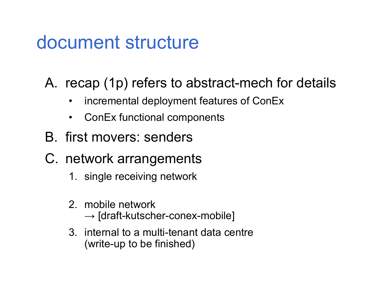# document structure

#### A. recap (1p) refers to abstract-mech for details

- incremental deployment features of ConEx
- ConEx functional components
- B. first movers: senders
- C. network arrangements
	- 1. single receiving network
	- 2. mobile network
		- $\rightarrow$  [draft-kutscher-conex-mobile]
	- 3. internal to a multi-tenant data centre (write-up to be finished)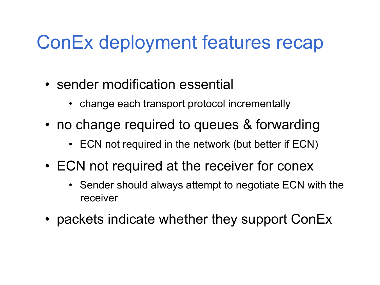# ConEx deployment features recap

- sender modification essential
	- change each transport protocol incrementally
- no change required to queues & forwarding
	- ECN not required in the network (but better if ECN)
- ECN not required at the receiver for conex
	- Sender should always attempt to negotiate ECN with the receiver
- packets indicate whether they support ConEx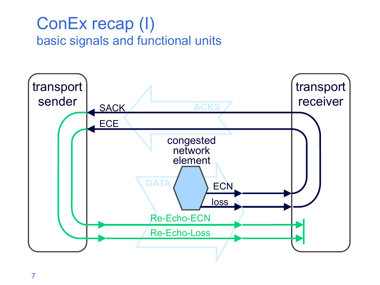### ConEx recap (I) basic signals and functional units

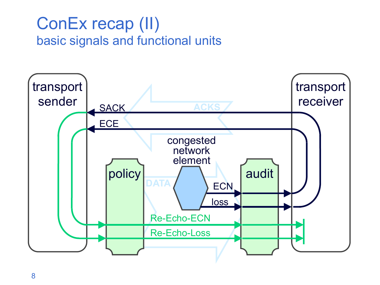### ConEx recap (II) basic signals and functional units

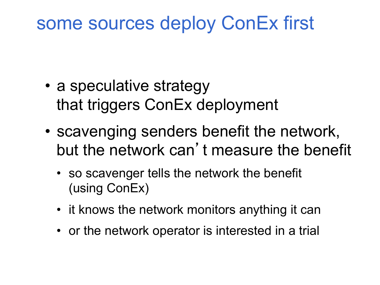## some sources deploy ConEx first

- a speculative strategy that triggers ConEx deployment
- scavenging senders benefit the network, but the network can't measure the benefit
	- so scavenger tells the network the benefit (using ConEx)
	- it knows the network monitors anything it can
	- or the network operator is interested in a trial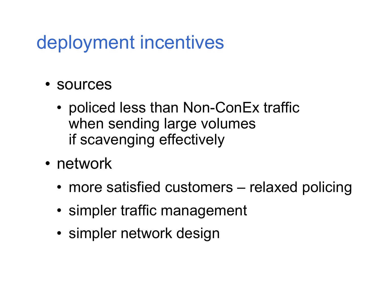# deployment incentives

- sources
	- policed less than Non-ConEx traffic when sending large volumes if scavenging effectively
- network
	- more satisfied customers relaxed policing
	- simpler traffic management
	- simpler network design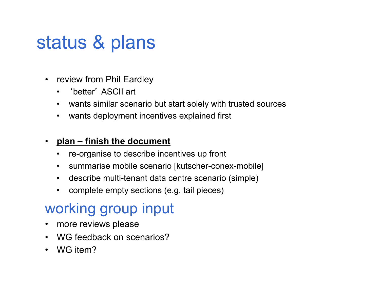# status & plans

- review from Phil Eardley
	- ʻbetter' ASCII art
	- wants similar scenario but start solely with trusted sources
	- wants deployment incentives explained first

#### • **plan – finish the document**

- re-organise to describe incentives up front
- summarise mobile scenario [kutscher-conex-mobile]
- describe multi-tenant data centre scenario (simple)
- complete empty sections (e.g. tail pieces)

### working group input

- more reviews please
- WG feedback on scenarios?
- WG item?